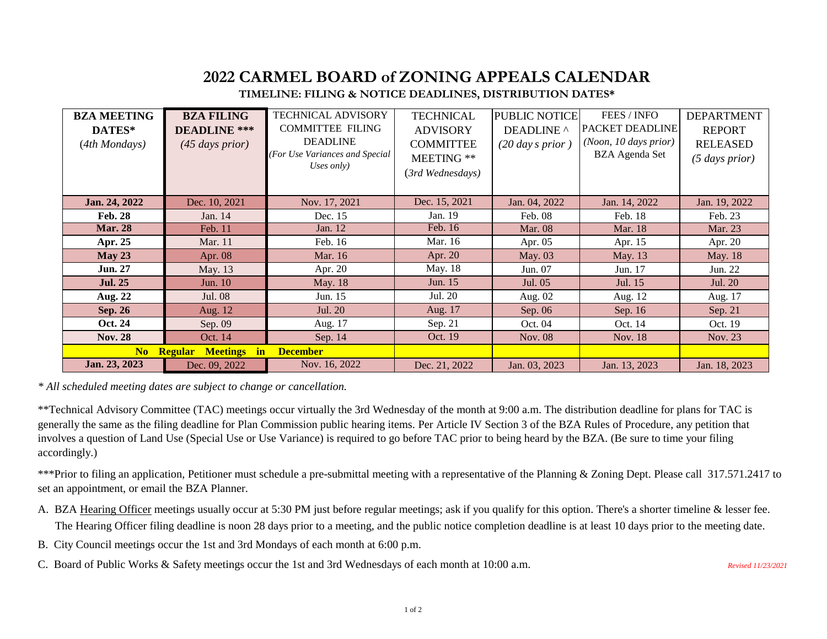## **2022 CARMEL BOARD of ZONING APPEALS CALENDAR**

## **TIMELINE: FILING & NOTICE DEADLINES, DISTRIBUTION DATES\***

| <b>BZA MEETING</b><br>DATES*<br>(4th Mondays)                     | <b>BZA FILING</b><br><b>DEADLINE</b> ***<br>$(45$ days prior) | <b>TECHNICAL ADVISORY</b><br><b>COMMITTEE FILING</b><br><b>DEADLINE</b><br>(For Use Variances and Special<br>Uses only) | <b>TECHNICAL</b><br><b>ADVISORY</b><br><b>COMMITTEE</b><br>MEETING **<br>(3rd Wednesdays) | PUBLIC NOTICE<br>DEADLINE ^<br>$(20 \, day \, s \, prior)$ | FEES / INFO<br>PACKET DEADLINE<br>(Noon, 10 days prior)<br><b>BZA</b> Agenda Set | <b>DEPARTMENT</b><br><b>REPORT</b><br><b>RELEASED</b><br>$(5$ days prior) |
|-------------------------------------------------------------------|---------------------------------------------------------------|-------------------------------------------------------------------------------------------------------------------------|-------------------------------------------------------------------------------------------|------------------------------------------------------------|----------------------------------------------------------------------------------|---------------------------------------------------------------------------|
| Jan. 24, 2022                                                     | Dec. 10, 2021                                                 | Nov. 17, 2021                                                                                                           | Dec. 15, 2021                                                                             | Jan. 04, 2022                                              | Jan. 14, 2022                                                                    | Jan. 19, 2022                                                             |
| <b>Feb. 28</b>                                                    | Jan. 14                                                       | Dec. 15                                                                                                                 | Jan. 19                                                                                   | Feb. 08                                                    | Feb. 18                                                                          | Feb. 23                                                                   |
| <b>Mar. 28</b>                                                    | Feb. 11                                                       | Jan. 12                                                                                                                 | Feb. 16                                                                                   | <b>Mar. 08</b>                                             | Mar. 18                                                                          | Mar. 23                                                                   |
| Apr. 25                                                           | Mar. 11                                                       | Feb. 16                                                                                                                 | Mar. 16                                                                                   | Apr. $05$                                                  | Apr. 15                                                                          | Apr. 20                                                                   |
| May 23                                                            | Apr. 08                                                       | Mar. 16                                                                                                                 | Apr. $20$                                                                                 | May. 03                                                    | May. 13                                                                          | May. 18                                                                   |
| <b>Jun. 27</b>                                                    | May. 13                                                       | Apr. 20                                                                                                                 | May. 18                                                                                   | Jun. 07                                                    | Jun. 17                                                                          | Jun. 22                                                                   |
| <b>Jul. 25</b>                                                    | Jun. 10                                                       | May. 18                                                                                                                 | Jun. 15                                                                                   | Jul. 05                                                    | Jul. 15                                                                          | Jul. 20                                                                   |
| Aug. 22                                                           | Jul. 08                                                       | Jun. 15                                                                                                                 | Jul. 20                                                                                   | Aug. 02                                                    | Aug. 12                                                                          | Aug. 17                                                                   |
| <b>Sep. 26</b>                                                    | Aug. 12                                                       | Jul. 20                                                                                                                 | Aug. 17                                                                                   | Sep. $06$                                                  | Sep. 16                                                                          | Sep. 21                                                                   |
| Oct. 24                                                           | Sep. 09                                                       | Aug. 17                                                                                                                 | Sep. 21                                                                                   | Oct. 04                                                    | Oct. 14                                                                          | Oct. 19                                                                   |
| <b>Nov. 28</b>                                                    | Oct. 14                                                       | Sep. 14                                                                                                                 | Oct. 19                                                                                   | Nov. 08                                                    | Nov. 18                                                                          | Nov. 23                                                                   |
| No<br><b>Regular Meetings</b><br>$\mathbf{in}$<br><b>December</b> |                                                               |                                                                                                                         |                                                                                           |                                                            |                                                                                  |                                                                           |
| Jan. 23, 2023                                                     | Dec. 09, 2022                                                 | Nov. 16, 2022                                                                                                           | Dec. 21, 2022                                                                             | Jan. 03, 2023                                              | Jan. 13, 2023                                                                    | Jan. 18, 2023                                                             |

*\* All scheduled meeting dates are subject to change or cancellation.* 

\*\*Technical Advisory Committee (TAC) meetings occur virtually the 3rd Wednesday of the month at 9:00 a.m. The distribution deadline for plans for TAC is generally the same as the filing deadline for Plan Commission public hearing items. Per Article IV Section 3 of the BZA Rules of Procedure, any petition that involves a question of Land Use (Special Use or Use Variance) is required to go before TAC prior to being heard by the BZA. (Be sure to time your filing accordingly.)

\*\*\*Prior to filing an application, Petitioner must schedule a pre-submittal meeting with a representative of the Planning & Zoning Dept. Please call 317.571.2417 to set an appointment, or email the BZA Planner.

- A. BZA Hearing Officer meetings usually occur at 5:30 PM just before regular meetings; ask if you qualify for this option. There's a shorter timeline & lesser fee. The Hearing Officer filing deadline is noon 28 days prior to a meeting, and the public notice completion deadline is at least 10 days prior to the meeting date.
- B. City Council meetings occur the 1st and 3rd Mondays of each month at 6:00 p.m.
- C. Board of Public Works & Safety meetings occur the 1st and 3rd Wednesdays of each month at 10:00 a.m.

*Revised 11/23/2021*